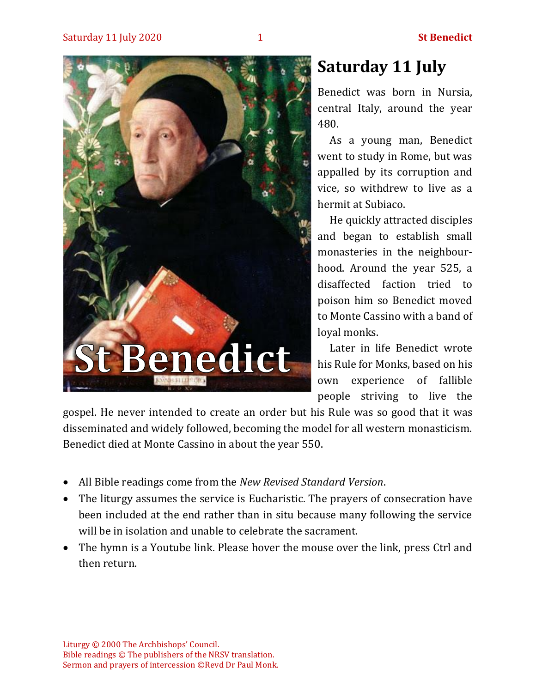

# **Saturday 11 July**

Benedict was born in Nursia, central Italy, around the year 480.

As a young man, Benedict went to study in Rome, but was appalled by its corruption and vice, so withdrew to live as a hermit at Subiaco.

He quickly attracted disciples and began to establish small monasteries in the neighbourhood. Around the year 525, a disaffected faction tried to poison him so Benedict moved to Monte Cassino with a band of loyal monks.

Later in life Benedict wrote his Rule for Monks, based on his own experience of fallible people striving to live the

gospel. He never intended to create an order but his Rule was so good that it was disseminated and widely followed, becoming the model for all western monasticism. Benedict died at Monte Cassino in about the year 550.

- All Bible readings come from the *New Revised Standard Version*.
- The liturgy assumes the service is Eucharistic. The prayers of consecration have been included at the end rather than in situ because many following the service will be in isolation and unable to celebrate the sacrament.
- The hymn is a Youtube link. Please hover the mouse over the link, press Ctrl and then return.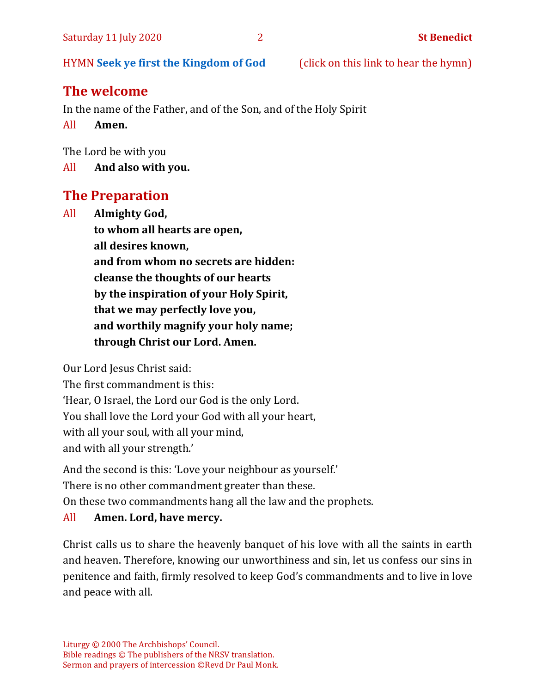HYMN **[Seek ye first the Kingdom of God](https://www.youtube.com/watch?v=94I07YCeqBs)** (click on this link to hear the hymn)

# **The welcome**

In the name of the Father, and of the Son, and of the Holy Spirit

All **Amen.**

The Lord be with you

All **And also with you.**

# **The Preparation**

All **Almighty God, to whom all hearts are open, all desires known, and from whom no secrets are hidden: cleanse the thoughts of our hearts by the inspiration of your Holy Spirit, that we may perfectly love you, and worthily magnify your holy name; through Christ our Lord. Amen.**

Our Lord Jesus Christ said:

The first commandment is this: 'Hear, O Israel, the Lord our God is the only Lord. You shall love the Lord your God with all your heart, with all your soul, with all your mind, and with all your strength.'

And the second is this: 'Love your neighbour as yourself.'

There is no other commandment greater than these.

On these two commandments hang all the law and the prophets.

#### All **Amen. Lord, have mercy.**

Christ calls us to share the heavenly banquet of his love with all the saints in earth and heaven. Therefore, knowing our unworthiness and sin, let us confess our sins in penitence and faith, firmly resolved to keep God's commandments and to live in love and peace with all.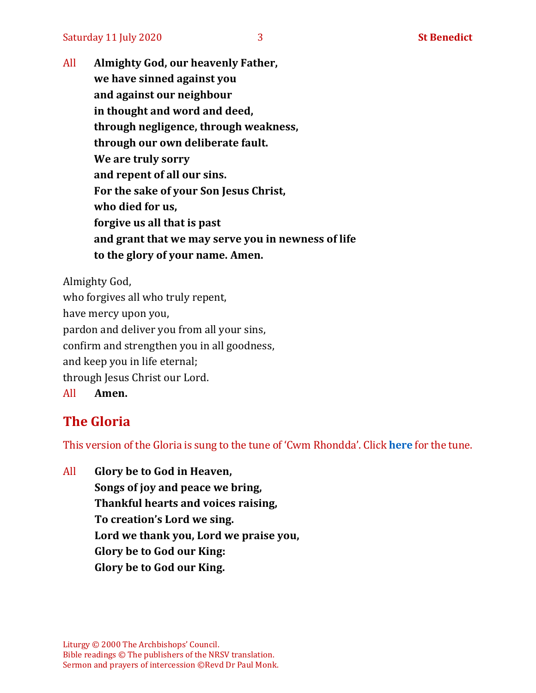All **Almighty God, our heavenly Father, we have sinned against you and against our neighbour in thought and word and deed, through negligence, through weakness, through our own deliberate fault. We are truly sorry and repent of all our sins. For the sake of your Son Jesus Christ, who died for us, forgive us all that is past and grant that we may serve you in newness of life to the glory of your name. Amen.**

Almighty God, who forgives all who truly repent, have mercy upon you, pardon and deliver you from all your sins, confirm and strengthen you in all goodness, and keep you in life eternal; through Jesus Christ our Lord. All **Amen.**

## **The Gloria**

This version of the Gloria is sung to the tune of 'Cwm Rhondda'. Click **[here](https://www.youtube.com/watch?v=BtGhnEwY74E)** for the tune.

All **Glory be to God in Heaven, Songs of joy and peace we bring, Thankful hearts and voices raising, To creation's Lord we sing. Lord we thank you, Lord we praise you, Glory be to God our King: Glory be to God our King.**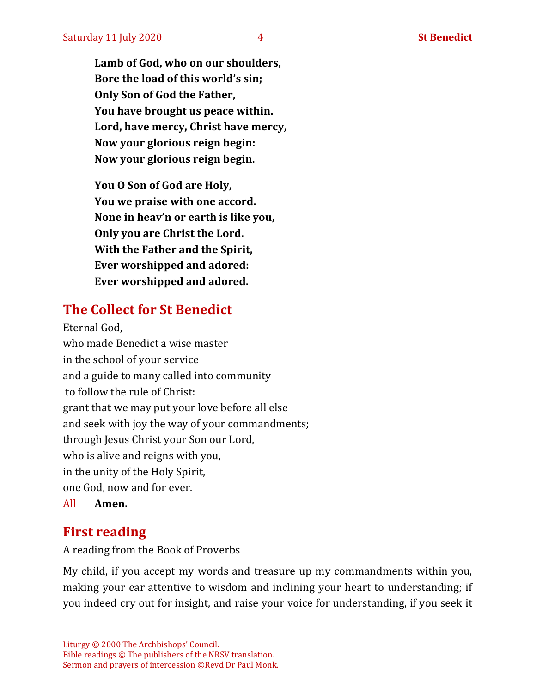**Lamb of God, who on our shoulders, Bore the load of this world's sin; Only Son of God the Father, You have brought us peace within. Lord, have mercy, Christ have mercy, Now your glorious reign begin: Now your glorious reign begin.**

**You O Son of God are Holy, You we praise with one accord. None in heav'n or earth is like you, Only you are Christ the Lord. With the Father and the Spirit, Ever worshipped and adored: Ever worshipped and adored.**

# **The Collect for St Benedict**

Eternal God, who made Benedict a wise master in the school of your service and a guide to many called into community to follow the rule of Christ: grant that we may put your love before all else and seek with joy the way of your commandments; through Jesus Christ your Son our Lord, who is alive and reigns with you, in the unity of the Holy Spirit, one God, now and for ever. All **Amen.**

## **First reading**

A reading from the Book of Proverbs

My child, if you accept my words and treasure up my commandments within you, making your ear attentive to wisdom and inclining your heart to understanding; if you indeed cry out for insight, and raise your voice for understanding, if you seek it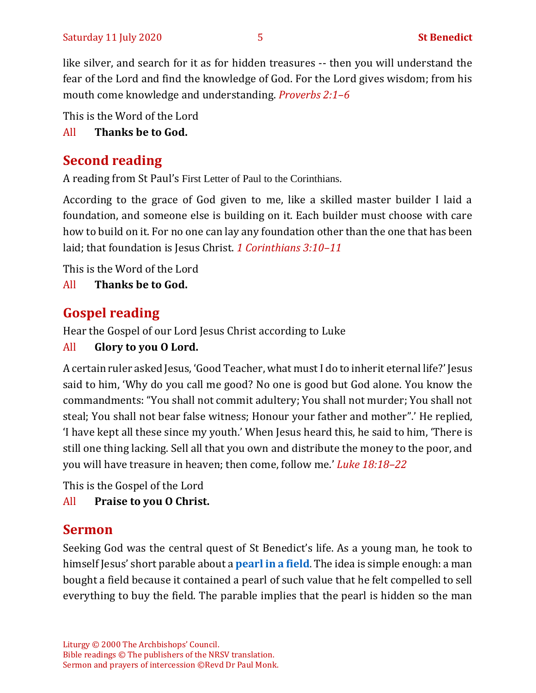like silver, and search for it as for hidden treasures -- then you will understand the fear of the Lord and find the knowledge of God. For the Lord gives wisdom; from his mouth come knowledge and understanding. *Proverbs 2:1–6*

This is the Word of the Lord

All **Thanks be to God.**

# **Second reading**

A reading from St Paul's First Letter of Paul to the Corinthians.

According to the grace of God given to me, like a skilled master builder I laid a foundation, and someone else is building on it. Each builder must choose with care how to build on it. For no one can lay any foundation other than the one that has been laid; that foundation is Jesus Christ. *1 Corinthians 3:10–11*

This is the Word of the Lord

All **Thanks be to God.**

# **Gospel reading**

Hear the Gospel of our Lord Jesus Christ according to Luke

# All **Glory to you O Lord.**

A certain ruler asked Jesus, 'Good Teacher, what must I do to inherit eternal life?' Jesus said to him, 'Why do you call me good? No one is good but God alone. You know the commandments: "You shall not commit adultery; You shall not murder; You shall not steal; You shall not bear false witness; Honour your father and mother".' He replied, 'I have kept all these since my youth.' When Jesus heard this, he said to him, 'There is still one thing lacking. Sell all that you own and distribute the money to the poor, and you will have treasure in heaven; then come, follow me.' *Luke 18:18–22*

This is the Gospel of the Lord

All **Praise to you O Christ.** 

# **Sermon**

Seeking God was the central quest of St Benedict's life. As a young man, he took to himself Jesus' short parable about a **[pearl in a field](https://www.biblegateway.com/passage/?search=Matthew+13%3A44-46&version=NIV)**. The idea is simple enough: a man bought a field because it contained a pearl of such value that he felt compelled to sell everything to buy the field. The parable implies that the pearl is hidden so the man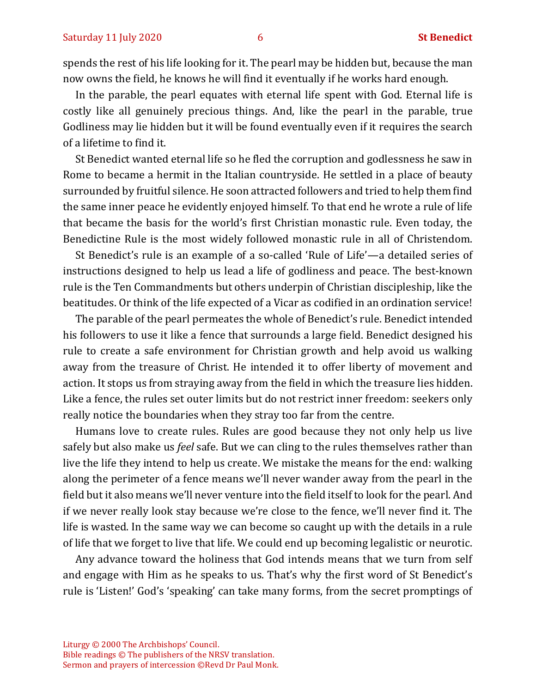spends the rest of his life looking for it. The pearl may be hidden but, because the man now owns the field, he knows he will find it eventually if he works hard enough.

In the parable, the pearl equates with eternal life spent with God. Eternal life is costly like all genuinely precious things. And, like the pearl in the parable, true Godliness may lie hidden but it will be found eventually even if it requires the search of a lifetime to find it.

St Benedict wanted eternal life so he fled the corruption and godlessness he saw in Rome to became a hermit in the Italian countryside. He settled in a place of beauty surrounded by fruitful silence. He soon attracted followers and tried to help them find the same inner peace he evidently enjoyed himself. To that end he wrote a rule of life that became the basis for the world's first Christian monastic rule. Even today, the Benedictine Rule is the most widely followed monastic rule in all of Christendom.

St Benedict's rule is an example of a so-called 'Rule of Life'—a detailed series of instructions designed to help us lead a life of godliness and peace. The best-known rule is the Ten Commandments but others underpin of Christian discipleship, like the beatitudes. Or think of the life expected of a Vicar as codified in an ordination service!

The parable of the pearl permeates the whole of Benedict's rule. Benedict intended his followers to use it like a fence that surrounds a large field. Benedict designed his rule to create a safe environment for Christian growth and help avoid us walking away from the treasure of Christ. He intended it to offer liberty of movement and action. It stops us from straying away from the field in which the treasure lies hidden. Like a fence, the rules set outer limits but do not restrict inner freedom: seekers only really notice the boundaries when they stray too far from the centre.

Humans love to create rules. Rules are good because they not only help us live safely but also make us *feel* safe. But we can cling to the rules themselves rather than live the life they intend to help us create. We mistake the means for the end: walking along the perimeter of a fence means we'll never wander away from the pearl in the field but it also means we'll never venture into the field itself to look for the pearl. And if we never really look stay because we're close to the fence, we'll never find it. The life is wasted. In the same way we can become so caught up with the details in a rule of life that we forget to live that life. We could end up becoming legalistic or neurotic.

Any advance toward the holiness that God intends means that we turn from self and engage with Him as he speaks to us. That's why the first word of St Benedict's rule is 'Listen!' God's 'speaking' can take many forms, from the secret promptings of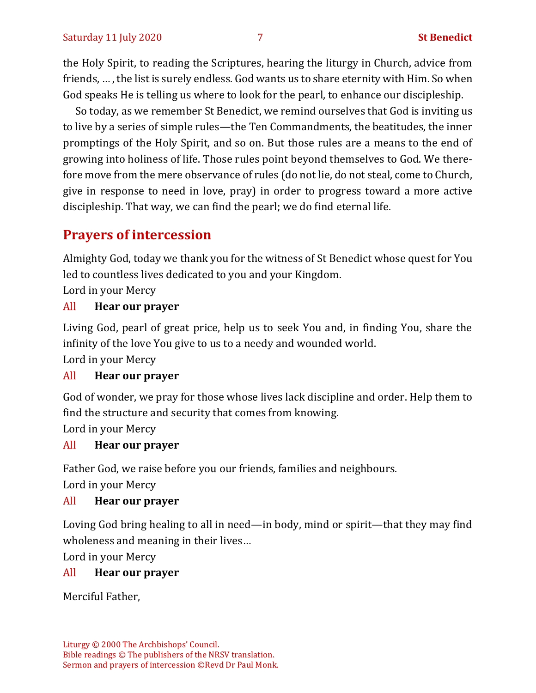the Holy Spirit, to reading the Scriptures, hearing the liturgy in Church, advice from friends, … , the list is surely endless. God wants us to share eternity with Him. So when God speaks He is telling us where to look for the pearl, to enhance our discipleship.

So today, as we remember St Benedict, we remind ourselves that God is inviting us to live by a series of simple rules—the Ten Commandments, the beatitudes, the inner promptings of the Holy Spirit, and so on. But those rules are a means to the end of growing into holiness of life. Those rules point beyond themselves to God. We therefore move from the mere observance of rules (do not lie, do not steal, come to Church, give in response to need in love, pray) in order to progress toward a more active discipleship. That way, we can find the pearl; we do find eternal life.

# **Prayers of intercession**

Almighty God, today we thank you for the witness of St Benedict whose quest for You led to countless lives dedicated to you and your Kingdom.

Lord in your Mercy

#### All **Hear our prayer**

Living God, pearl of great price, help us to seek You and, in finding You, share the infinity of the love You give to us to a needy and wounded world.

Lord in your Mercy

#### All **Hear our prayer**

God of wonder, we pray for those whose lives lack discipline and order. Help them to find the structure and security that comes from knowing.

Lord in your Mercy

#### All **Hear our prayer**

Father God, we raise before you our friends, families and neighbours.

Lord in your Mercy

#### All **Hear our prayer**

Loving God bring healing to all in need—in body, mind or spirit—that they may find wholeness and meaning in their lives…

Lord in your Mercy

#### All **Hear our prayer**

Merciful Father,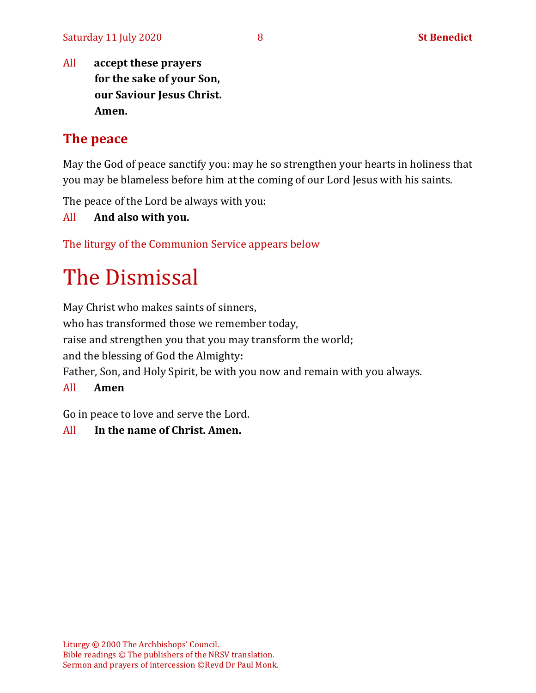All **accept these prayers for the sake of your Son, our Saviour Jesus Christ. Amen.**

## **The peace**

May the God of peace sanctify you: may he so strengthen your hearts in holiness that you may be blameless before him at the coming of our Lord Jesus with his saints.

The peace of the Lord be always with you:

All **And also with you.**

The liturgy of the Communion Service appears below

# The Dismissal

May Christ who makes saints of sinners,

who has transformed those we remember today,

raise and strengthen you that you may transform the world;

and the blessing of God the Almighty:

Father, Son, and Holy Spirit, be with you now and remain with you always.

All **Amen**

Go in peace to love and serve the Lord.

All **In the name of Christ. Amen.**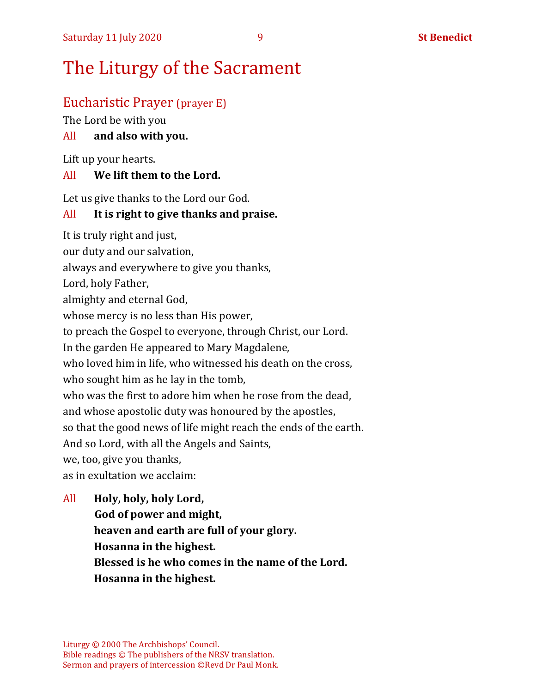### Eucharistic Prayer (prayer E)

The Lord be with you

#### All **and also with you.**

Lift up your hearts.

#### All **We lift them to the Lord.**

Let us give thanks to the Lord our God.

#### All **It is right to give thanks and praise.**

It is truly right and just, our duty and our salvation, always and everywhere to give you thanks, Lord, holy Father, almighty and eternal God, whose mercy is no less than His power, to preach the Gospel to everyone, through Christ, our Lord. In the garden He appeared to Mary Magdalene, who loved him in life, who witnessed his death on the cross, who sought him as he lay in the tomb, who was the first to adore him when he rose from the dead, and whose apostolic duty was honoured by the apostles, so that the good news of life might reach the ends of the earth. And so Lord, with all the Angels and Saints, we, too, give you thanks, as in exultation we acclaim:

All **Holy, holy, holy Lord, God of power and might, heaven and earth are full of your glory. Hosanna in the highest. Blessed is he who comes in the name of the Lord. Hosanna in the highest.**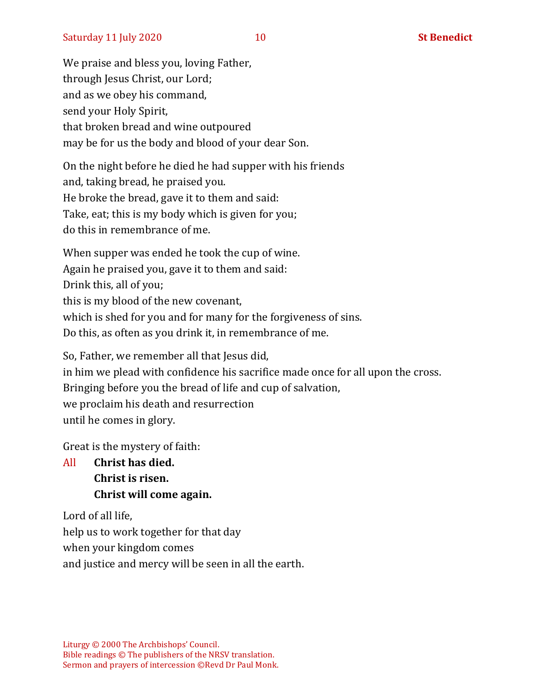We praise and bless you, loving Father, through Jesus Christ, our Lord; and as we obey his command, send your Holy Spirit, that broken bread and wine outpoured may be for us the body and blood of your dear Son.

On the night before he died he had supper with his friends and, taking bread, he praised you. He broke the bread, gave it to them and said: Take, eat; this is my body which is given for you; do this in remembrance of me.

When supper was ended he took the cup of wine. Again he praised you, gave it to them and said: Drink this, all of you; this is my blood of the new covenant, which is shed for you and for many for the forgiveness of sins. Do this, as often as you drink it, in remembrance of me.

So, Father, we remember all that Jesus did, in him we plead with confidence his sacrifice made once for all upon the cross. Bringing before you the bread of life and cup of salvation, we proclaim his death and resurrection until he comes in glory.

Great is the mystery of faith:

All **Christ has died. Christ is risen. Christ will come again.**

Lord of all life, help us to work together for that day when your kingdom comes and justice and mercy will be seen in all the earth.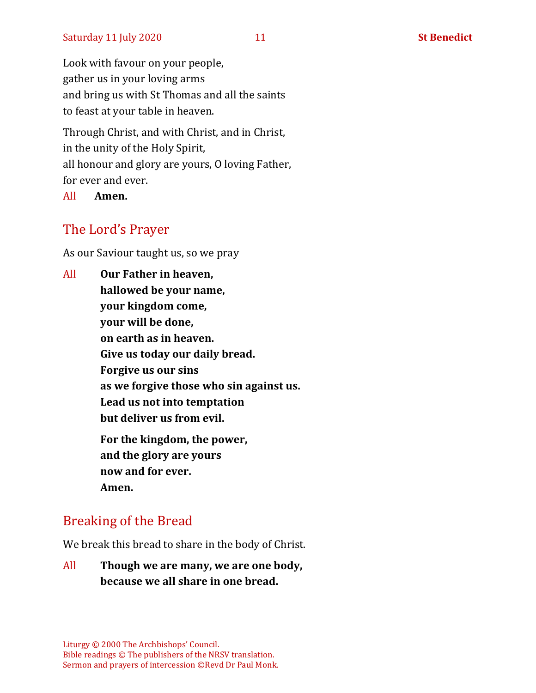Look with favour on your people, gather us in your loving arms and bring us with St Thomas and all the saints to feast at your table in heaven.

Through Christ, and with Christ, and in Christ, in the unity of the Holy Spirit, all honour and glory are yours, O loving Father, for ever and ever.

All **Amen.**

# The Lord's Prayer

As our Saviour taught us, so we pray

All **Our Father in heaven, hallowed be your name, your kingdom come, your will be done, on earth as in heaven. Give us today our daily bread. Forgive us our sins as we forgive those who sin against us. Lead us not into temptation but deliver us from evil. For the kingdom, the power, and the glory are yours now and for ever. Amen.**

# Breaking of the Bread

We break this bread to share in the body of Christ.

All **Though we are many, we are one body, because we all share in one bread.**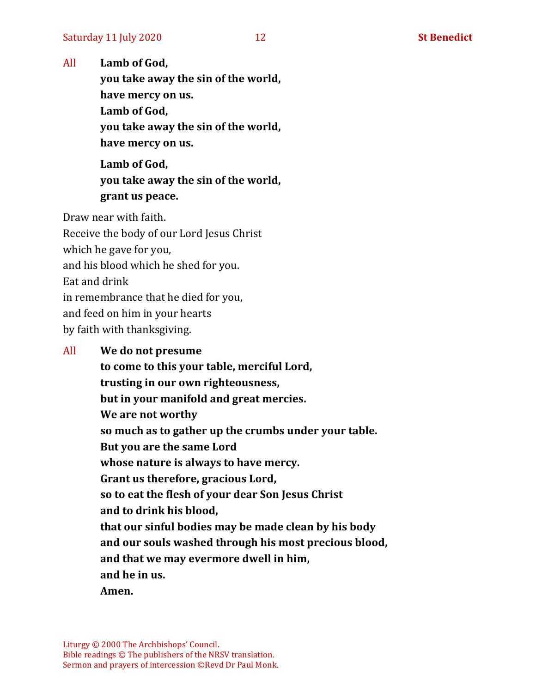All **Lamb of God,**

**you take away the sin of the world, have mercy on us. Lamb of God,** 

**you take away the sin of the world, have mercy on us.**

**Lamb of God, you take away the sin of the world, grant us peace.**

Draw near with faith.

Receive the body of our Lord Jesus Christ which he gave for you, and his blood which he shed for you. Eat and drink in remembrance that he died for you, and feed on him in your hearts by faith with thanksgiving.

#### All **We do not presume**

**to come to this your table, merciful Lord, trusting in our own righteousness, but in your manifold and great mercies. We are not worthy so much as to gather up the crumbs under your table. But you are the same Lord whose nature is always to have mercy. Grant us therefore, gracious Lord, so to eat the flesh of your dear Son Jesus Christ and to drink his blood, that our sinful bodies may be made clean by his body and our souls washed through his most precious blood, and that we may evermore dwell in him, and he in us. Amen.**